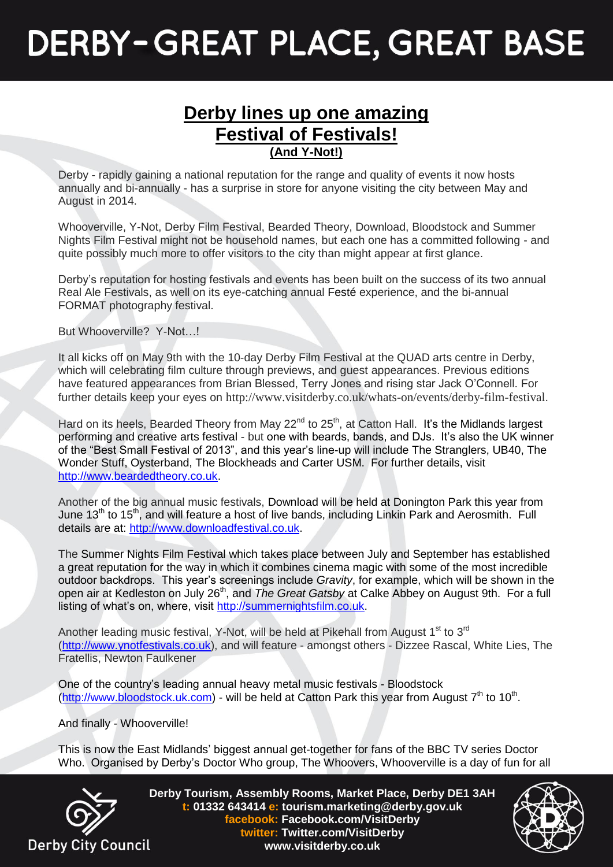## **DERBY-GREAT PLACE, GREAT BASE**

## **Derby lines up one amazing Festival of Festivals! (And Y-Not!)**

Derby - rapidly gaining a national reputation for the range and quality of events it now hosts annually and bi-annually - has a surprise in store for anyone visiting the city between May and August in 2014.

Whooverville, Y-Not, Derby Film Festival, Bearded Theory, Download, Bloodstock and Summer Nights Film Festival might not be household names, but each one has a committed following - and quite possibly much more to offer visitors to the city than might appear at first glance.

Derby's reputation for hosting festivals and events has been built on the success of its two annual Real Ale Festivals, as well on its eye-catching annual Festé experience, and the bi-annual FORMAT photography festival.

But Whooverville? Y-Not…!

It all kicks off on May 9th with the 10-day Derby Film Festival at the QUAD arts centre in Derby, which will celebrating film culture through previews, and guest appearances. Previous editions have featured appearances from Brian Blessed, Terry Jones and rising star Jack O'Connell. For further details keep your eyes on <http://www.visitderby.co.uk/whats-on/events/derby-film-festival>.

Hard on its heels, Bearded Theory from May 22<sup>nd</sup> to 25<sup>th</sup>, at Catton Hall. It's the Midlands largest performing and creative arts festival - but one with beards, bands, and DJs. It's also the UK winner of the "Best Small Festival of 2013", and this year's line-up will include The Stranglers, UB40, The Wonder Stuff, Oysterband, The Blockheads and Carter USM. For further details, visit [http://www.beardedtheory.co.uk.](http://www.beardedtheory.co.uk/)

Another of the big annual music festivals, Download will be held at Donington Park this year from June 13th to 15th, and will feature a host of live bands, including Linkin Park and Aerosmith. Full details are at: [http://www.downloadfestival.co.uk.](http://www.downloadfestival.co.uk/)

The Summer Nights Film Festival which takes place between July and September has established a great reputation for the way in which it combines cinema magic with some of the most incredible outdoor backdrops. This year's screenings include *Gravity*, for example, which will be shown in the open air at Kedleston on July 26<sup>th</sup>, and *The Great Gatsby* at Calke Abbey on August 9th. For a full listing of what's on, where, visit [http://summernightsfilm.co.uk.](http://summernightsfilm.co.uk/)

Another leading music festival, Y-Not, will be held at Pikehall from August 1<sup>st</sup> to 3<sup>rd</sup> [\(http://www.ynotfestivals.co.uk\)](http://www.ynotfestivals.co.uk/), and will feature - amongst others - Dizzee Rascal, White Lies, The Fratellis, Newton Faulkener

One of the country's leading annual heavy metal music festivals - Bloodstock [\(http://www.bloodstock.uk.com\)](http://www.bloodstock.uk.com/) - will be held at Catton Park this year from August 7<sup>th</sup> to 10<sup>th</sup>.

And finally - Whooverville!

This is now the East Midlands' biggest annual get-together for fans of the BBC TV series Doctor Who. Organised by Derby's Doctor Who group, The Whoovers, Whooverville is a day of fun for all



**Derby Tourism, Assembly Rooms, Market Place, Derby DE1 3AH t: 01332 643414 e: tourism.marketing@derby.gov.uk facebook: Facebook.com/VisitDerby twitter: Twitter.com/VisitDerby www.visitderby.co.uk**